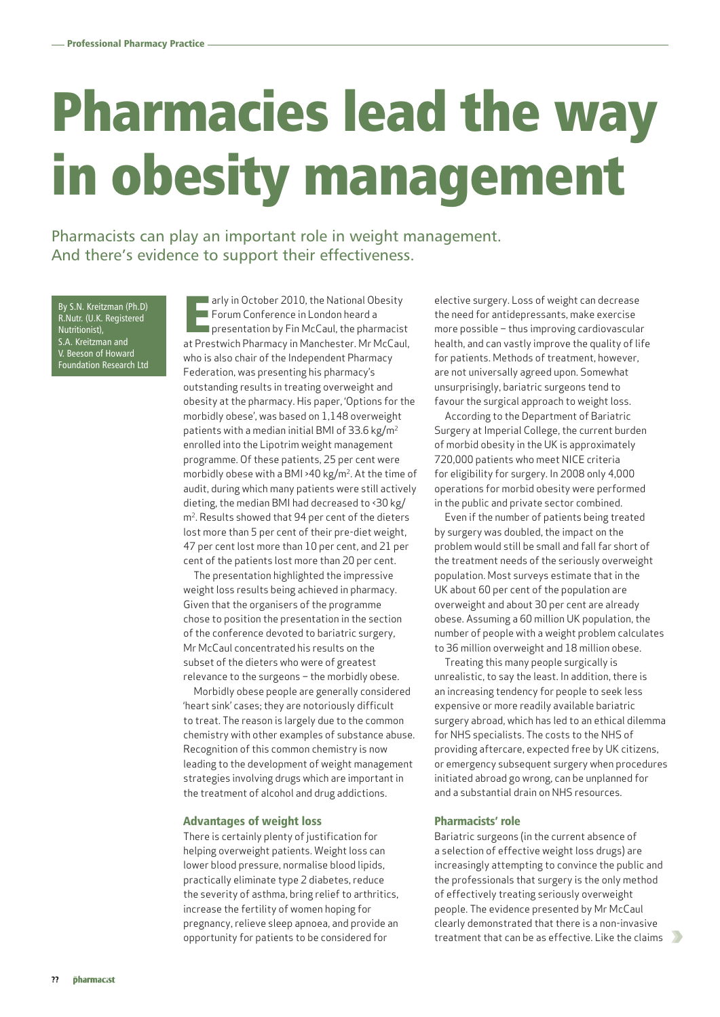## Pharmacies lead the way in obesity management

Pharmacists can play an important role in weight management. And there's evidence to support their effectiveness.

By S.N. Kreitzman (Ph.D) R.Nutr. (U.K. Registered Nutritionist), S.A. Kreitzman and V. Beeson of Howard Foundation Research Ltd

arly in October 2010, the National Obesity<br>Forum Conference in London heard a<br>presentation by Fin McCaul, the pharmacist<br>at Prestwich Pharmacy in Manchester. Mr McCaul, arly in October 2010, the National Obesity **Forum Conference in London heard a Presentation by Fin McCaul, the pharmacist** who is also chair of the Independent Pharmacy Federation, was presenting his pharmacy's outstanding results in treating overweight and obesity at the pharmacy. His paper, 'Options for the morbidly obese', was based on 1,148 overweight patients with a median initial BMI of 33.6 kg/m2 enrolled into the Lipotrim weight management programme. Of these patients, 25 per cent were morbidly obese with a BMI >40 kg/m2. At the time of audit, during which many patients were still actively dieting, the median BMI had decreased to <30 kg/ m2. Results showed that 94 per cent of the dieters lost more than 5 per cent of their pre-diet weight, 47 per cent lost more than 10 per cent, and 21 per cent of the patients lost more than 20 per cent.

The presentation highlighted the impressive weight loss results being achieved in pharmacy. Given that the organisers of the programme chose to position the presentation in the section of the conference devoted to bariatric surgery, Mr McCaul concentrated his results on the subset of the dieters who were of greatest relevance to the surgeons – the morbidly obese.

Morbidly obese people are generally considered 'heart sink' cases; they are notoriously difficult to treat. The reason is largely due to the common chemistry with other examples of substance abuse. Recognition of this common chemistry is now leading to the development of weight management strategies involving drugs which are important in the treatment of alcohol and drug addictions.

## Advantages of weight loss

There is certainly plenty of justification for helping overweight patients. Weight loss can lower blood pressure, normalise blood lipids, practically eliminate type 2 diabetes, reduce the severity of asthma, bring relief to arthritics, increase the fertility of women hoping for pregnancy, relieve sleep apnoea, and provide an opportunity for patients to be considered for

elective surgery. Loss of weight can decrease the need for antidepressants, make exercise more possible – thus improving cardiovascular health, and can vastly improve the quality of life for patients. Methods of treatment, however, are not universally agreed upon. Somewhat unsurprisingly, bariatric surgeons tend to favour the surgical approach to weight loss.

According to the Department of Bariatric Surgery at Imperial College, the current burden of morbid obesity in the UK is approximately 720,000 patients who meet NICE criteria for eligibility for surgery. In 2008 only 4,000 operations for morbid obesity were performed in the public and private sector combined.

Even if the number of patients being treated by surgery was doubled, the impact on the problem would still be small and fall far short of the treatment needs of the seriously overweight population. Most surveys estimate that in the UK about 60 per cent of the population are overweight and about 30 per cent are already obese. Assuming a 60 million UK population, the number of people with a weight problem calculates to 36 million overweight and 18 million obese.

Treating this many people surgically is unrealistic, to say the least. In addition, there is an increasing tendency for people to seek less expensive or more readily available bariatric surgery abroad, which has led to an ethical dilemma for NHS specialists. The costs to the NHS of providing aftercare, expected free by UK citizens, or emergency subsequent surgery when procedures initiated abroad go wrong, can be unplanned for and a substantial drain on NHS resources.

## Pharmacists' role

Bariatric surgeons (in the current absence of a selection of effective weight loss drugs) are increasingly attempting to convince the public and the professionals that surgery is the only method of effectively treating seriously overweight people. The evidence presented by Mr McCaul clearly demonstrated that there is a non-invasive treatment that can be as effective. Like the claims